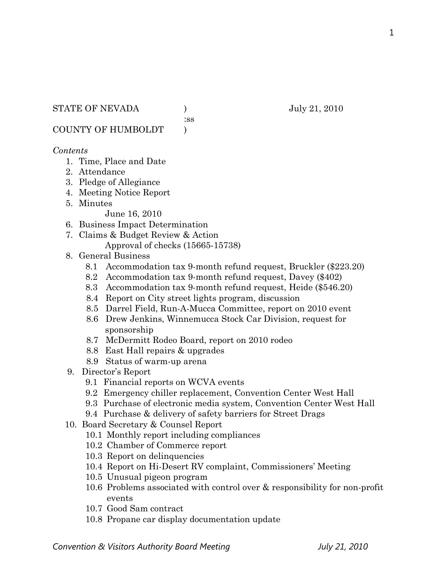:ss

COUNTY OF HUMBOLDT )

## *Contents*

- 1. Time, Place and Date
- 2. Attendance
- 3. Pledge of Allegiance
- 4. Meeting Notice Report
- 5. Minutes

June 16, 2010

- 6. Business Impact Determination
- 7. Claims & Budget Review & Action Approval of checks (15665-15738)
- 8. General Business
	- 8.1 Accommodation tax 9-month refund request, Bruckler (\$223.20)
	- 8.2 Accommodation tax 9-month refund request, Davey (\$402)
	- 8.3 Accommodation tax 9-month refund request, Heide (\$546.20)
	- 8.4 Report on City street lights program, discussion
	- 8.5 Darrel Field, Run-A-Mucca Committee, report on 2010 event
	- 8.6 Drew Jenkins, Winnemucca Stock Car Division, request for sponsorship
	- 8.7 McDermitt Rodeo Board, report on 2010 rodeo
	- 8.8 East Hall repairs & upgrades
	- 8.9 Status of warm-up arena
- 9. Director's Report
	- 9.1 Financial reports on WCVA events
	- 9.2 Emergency chiller replacement, Convention Center West Hall
	- 9.3 Purchase of electronic media system, Convention Center West Hall
	- 9.4 Purchase & delivery of safety barriers for Street Drags
- 10. Board Secretary & Counsel Report
	- 10.1 Monthly report including compliances
	- 10.2 Chamber of Commerce report
	- 10.3 Report on delinquencies
	- 10.4 Report on Hi-Desert RV complaint, Commissioners' Meeting
	- 10.5 Unusual pigeon program
	- 10.6 Problems associated with control over & responsibility for non-profit events
	- 10.7 Good Sam contract
	- 10.8 Propane car display documentation update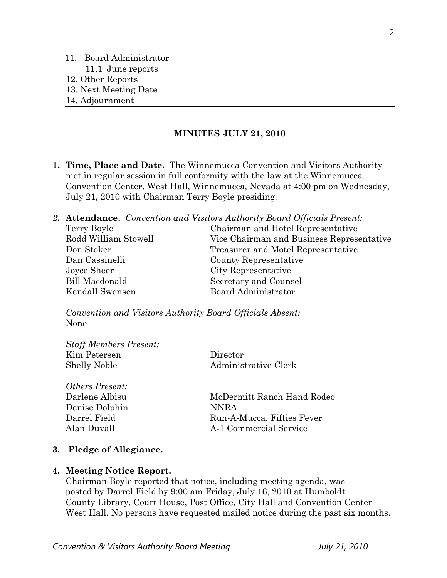- 11. Board Administrator 11.1 June reports 12. Other Reports
- 13. Next Meeting Date
- 14. Adjournment

### **MINUTES JULY 21, 2010**

**1. Time, Place and Date.** The Winnemucca Convention and Visitors Authority met in regular session in full conformity with the law at the Winnemucca Convention Center, West Hall, Winnemucca, Nevada at 4:00 pm on Wednesday, July 21, 2010 with Chairman Terry Boyle presiding.

*2.* **Attendance.** *Convention and Visitors Authority Board Officials Present:* 

| Terry Boyle          | Chairman and Hotel Representative         |
|----------------------|-------------------------------------------|
| Rodd William Stowell | Vice Chairman and Business Representative |
| Don Stoker           | Treasurer and Motel Representative        |
| Dan Cassinelli       | County Representative                     |
| Joyce Sheen          | City Representative                       |
| Bill Macdonald       | Secretary and Counsel                     |
| Kendall Swensen      | Board Administrator                       |

*Convention and Visitors Authority Board Officials Absent:*  None

| <b>Staff Members Present:</b> |                      |
|-------------------------------|----------------------|
| Kim Petersen                  | Director             |
| <b>Shelly Noble</b>           | Administrative Clerk |

*Others Present:*  Denise Dolphin NNRA

Darlene Albisu McDermitt Ranch Hand Rodeo Darrel Field Run-A-Mucca, Fifties Fever Alan Duvall A-1 Commercial Service

### **3. Pledge of Allegiance.**

### **4. Meeting Notice Report.**

Chairman Boyle reported that notice, including meeting agenda, was posted by Darrel Field by 9:00 am Friday, July 16, 2010 at Humboldt County Library, Court House, Post Office, City Hall and Convention Center West Hall. No persons have requested mailed notice during the past six months.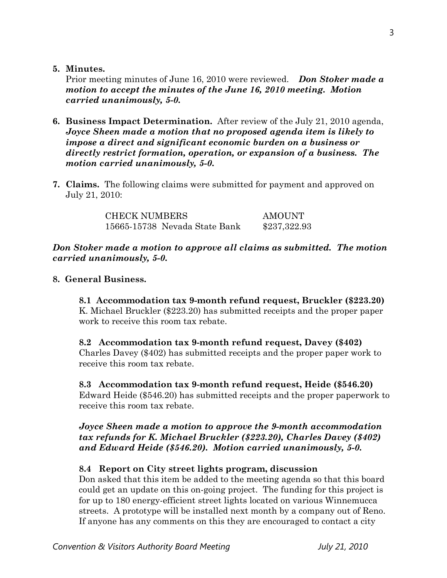**5. Minutes.** 

Prior meeting minutes of June 16, 2010 were reviewed. *Don Stoker made a motion to accept the minutes of the June 16, 2010 meeting. Motion carried unanimously, 5-0.* 

- **6. Business Impact Determination.** After review of the July 21, 2010 agenda, *Joyce Sheen made a motion that no proposed agenda item is likely to impose a direct and significant economic burden on a business or directly restrict formation, operation, or expansion of a business. The motion carried unanimously, 5-0.*
- **7. Claims.** The following claims were submitted for payment and approved on July 21, 2010:

| <b>CHECK NUMBERS</b>          | AMOUNT       |
|-------------------------------|--------------|
| 15665-15738 Nevada State Bank | \$237,322.93 |

# *Don Stoker made a motion to approve all claims as submitted. The motion carried unanimously, 5-0.*

# **8. General Business.**

**8.1 Accommodation tax 9-month refund request, Bruckler (\$223.20)**  K. Michael Bruckler (\$223.20) has submitted receipts and the proper paper work to receive this room tax rebate.

# **8.2 Accommodation tax 9-month refund request, Davey (\$402)**  Charles Davey (\$402) has submitted receipts and the proper paper work to receive this room tax rebate.

# **8.3 Accommodation tax 9-month refund request, Heide (\$546.20)**

Edward Heide (\$546.20) has submitted receipts and the proper paperwork to receive this room tax rebate.

# *Joyce Sheen made a motion to approve the 9-month accommodation tax refunds for K. Michael Bruckler (\$223.20), Charles Davey (\$402) and Edward Heide (\$546.20). Motion carried unanimously, 5-0.*

# **8.4 Report on City street lights program, discussion**

Don asked that this item be added to the meeting agenda so that this board could get an update on this on-going project. The funding for this project is for up to 180 energy-efficient street lights located on various Winnemucca streets. A prototype will be installed next month by a company out of Reno. If anyone has any comments on this they are encouraged to contact a city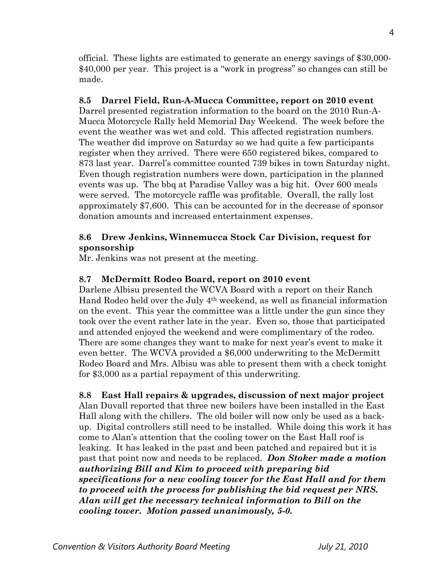official. These lights are estimated to generate an energy savings of \$30,000- \$40,000 per year. This project is a "work in progress" so changes can still be made.

# **8.5 Darrel Field, Run-A-Mucca Committee, report on 2010 event**

Darrel presented registration information to the board on the 2010 Run-A-Mucca Motorcycle Rally held Memorial Day Weekend. The week before the event the weather was wet and cold. This affected registration numbers. The weather did improve on Saturday so we had quite a few participants register when they arrived. There were 650 registered bikes, compared to 873 last year. Darrel's committee counted 739 bikes in town Saturday night. Even though registration numbers were down, participation in the planned events was up. The bbq at Paradise Valley was a big hit. Over 600 meals were served. The motorcycle raffle was profitable. Overall, the rally lost approximately \$7,600. This can be accounted for in the decrease of sponsor donation amounts and increased entertainment expenses.

# **8.6 Drew Jenkins, Winnemucca Stock Car Division, request for sponsorship**

Mr. Jenkins was not present at the meeting.

# **8.7 McDermitt Rodeo Board, report on 2010 event**

Darlene Albisu presented the WCVA Board with a report on their Ranch Hand Rodeo held over the July 4th weekend, as well as financial information on the event. This year the committee was a little under the gun since they took over the event rather late in the year. Even so, those that participated and attended enjoyed the weekend and were complimentary of the rodeo. There are some changes they want to make for next year's event to make it even better. The WCVA provided a \$6,000 underwriting to the McDermitt Rodeo Board and Mrs. Albisu was able to present them with a check tonight for \$3,000 as a partial repayment of this underwriting.

**8.8 East Hall repairs & upgrades, discussion of next major project**  Alan Duvall reported that three new boilers have been installed in the East Hall along with the chillers. The old boiler will now only be used as a backup. Digital controllers still need to be installed. While doing this work it has come to Alan's attention that the cooling tower on the East Hall roof is leaking. It has leaked in the past and been patched and repaired but it is past that point now and needs to be replaced. *Don Stoker made a motion authorizing Bill and Kim to proceed with preparing bid specifications for a new cooling tower for the East Hall and for them to proceed with the process for publishing the bid request per NRS. Alan will get the necessary technical information to Bill on the cooling tower. Motion passed unanimously, 5-0.*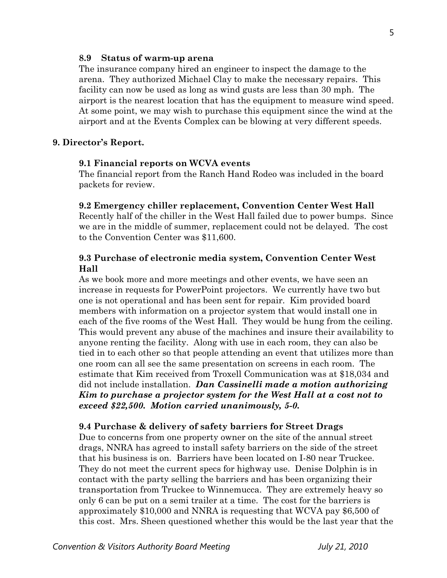### **8.9 Status of warm-up arena**

The insurance company hired an engineer to inspect the damage to the arena. They authorized Michael Clay to make the necessary repairs. This facility can now be used as long as wind gusts are less than 30 mph. The airport is the nearest location that has the equipment to measure wind speed. At some point, we may wish to purchase this equipment since the wind at the airport and at the Events Complex can be blowing at very different speeds.

## **9. Director's Report.**

### **9.1 Financial reports on WCVA events**

The financial report from the Ranch Hand Rodeo was included in the board packets for review.

#### **9.2 Emergency chiller replacement, Convention Center West Hall**

Recently half of the chiller in the West Hall failed due to power bumps. Since we are in the middle of summer, replacement could not be delayed. The cost to the Convention Center was \$11,600.

## **9.3 Purchase of electronic media system, Convention Center West Hall**

As we book more and more meetings and other events, we have seen an increase in requests for PowerPoint projectors. We currently have two but one is not operational and has been sent for repair. Kim provided board members with information on a projector system that would install one in each of the five rooms of the West Hall. They would be hung from the ceiling. This would prevent any abuse of the machines and insure their availability to anyone renting the facility. Along with use in each room, they can also be tied in to each other so that people attending an event that utilizes more than one room can all see the same presentation on screens in each room. The estimate that Kim received from Troxell Communication was at \$18,034 and did not include installation. *Dan Cassinelli made a motion authorizing Kim to purchase a projector system for the West Hall at a cost not to exceed \$22,500. Motion carried unanimously, 5-0.* 

### **9.4 Purchase & delivery of safety barriers for Street Drags**

Due to concerns from one property owner on the site of the annual street drags, NNRA has agreed to install safety barriers on the side of the street that his business is on. Barriers have been located on I-80 near Truckee. They do not meet the current specs for highway use. Denise Dolphin is in contact with the party selling the barriers and has been organizing their transportation from Truckee to Winnemucca. They are extremely heavy so only 6 can be put on a semi trailer at a time. The cost for the barriers is approximately \$10,000 and NNRA is requesting that WCVA pay \$6,500 of this cost. Mrs. Sheen questioned whether this would be the last year that the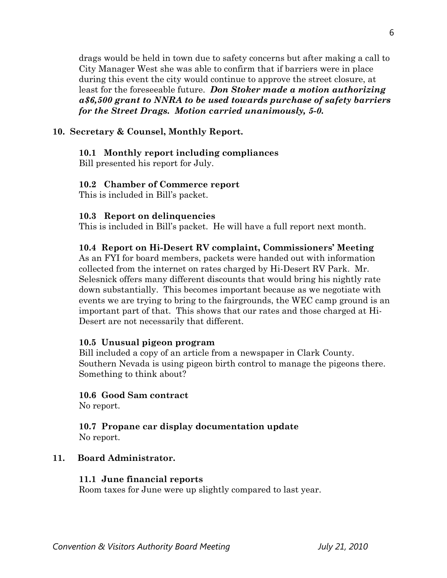drags would be held in town due to safety concerns but after making a call to City Manager West she was able to confirm that if barriers were in place during this event the city would continue to approve the street closure, at least for the foreseeable future. *Don Stoker made a motion authorizing a\$6,500 grant to NNRA to be used towards purchase of safety barriers for the Street Drags. Motion carried unanimously, 5-0.* 

# **10. Secretary & Counsel, Monthly Report.**

# **10.1 Monthly report including compliances**

Bill presented his report for July.

# **10.2 Chamber of Commerce report**

This is included in Bill's packet.

# **10.3 Report on delinquencies**

This is included in Bill's packet. He will have a full report next month.

# **10.4 Report on Hi-Desert RV complaint, Commissioners' Meeting**

As an FYI for board members, packets were handed out with information collected from the internet on rates charged by Hi-Desert RV Park. Mr. Selesnick offers many different discounts that would bring his nightly rate down substantially. This becomes important because as we negotiate with events we are trying to bring to the fairgrounds, the WEC camp ground is an important part of that. This shows that our rates and those charged at Hi-Desert are not necessarily that different.

# **10.5 Unusual pigeon program**

Bill included a copy of an article from a newspaper in Clark County. Southern Nevada is using pigeon birth control to manage the pigeons there. Something to think about?

# **10.6 Good Sam contract**

No report.

## **10.7 Propane car display documentation update**  No report.

# **11. Board Administrator.**

# **11.1 June financial reports**

Room taxes for June were up slightly compared to last year.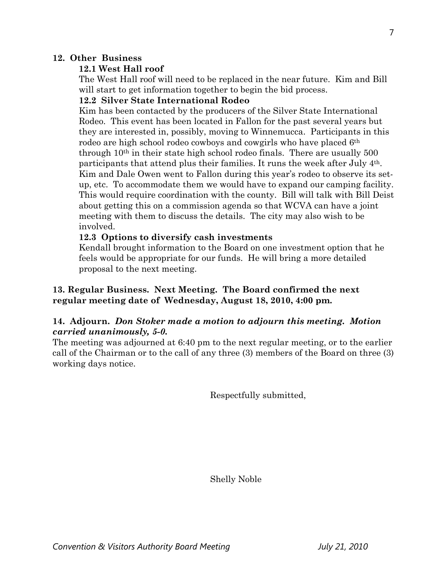## **12. Other Business**

# **12.1 West Hall roof**

The West Hall roof will need to be replaced in the near future. Kim and Bill will start to get information together to begin the bid process.

## **12.2 Silver State International Rodeo**

Kim has been contacted by the producers of the Silver State International Rodeo. This event has been located in Fallon for the past several years but they are interested in, possibly, moving to Winnemucca. Participants in this rodeo are high school rodeo cowboys and cowgirls who have placed 6th through 10th in their state high school rodeo finals. There are usually 500 participants that attend plus their families. It runs the week after July 4th. Kim and Dale Owen went to Fallon during this year's rodeo to observe its set up, etc. To accommodate them we would have to expand our camping facility. This would require coordination with the county. Bill will talk with Bill Deist about getting this on a commission agenda so that WCVA can have a joint meeting with them to discuss the details. The city may also wish to be involved.

# **12.3 Options to diversify cash investments**

Kendall brought information to the Board on one investment option that he feels would be appropriate for our funds. He will bring a more detailed proposal to the next meeting.

# **13. Regular Business. Next Meeting. The Board confirmed the next regular meeting date of Wednesday, August 18, 2010, 4:00 pm.**

# **14. Adjourn.** *Don Stoker made a motion to adjourn this meeting. Motion carried unanimously, 5-0.*

The meeting was adjourned at 6:40 pm to the next regular meeting, or to the earlier call of the Chairman or to the call of any three (3) members of the Board on three (3) working days notice.

Respectfully submitted,

Shelly Noble